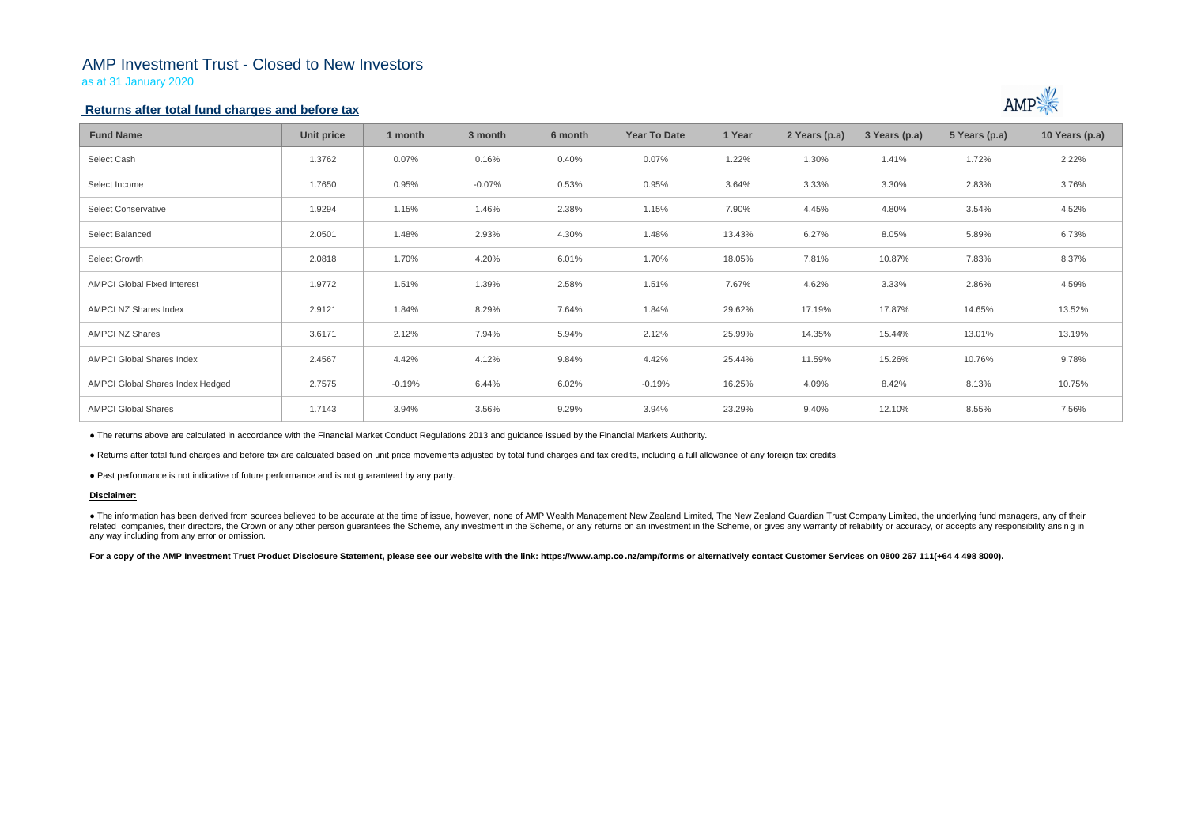## AMP Investment Trust - Closed to New Investors

as at 31 January 2020

## **Returns after total fund charges and before tax**

| <b>Fund Name</b>                   | Unit price | 1 month  | 3 month  | 6 month | <b>Year To Date</b> | 1 Year | 2 Years (p.a) | 3 Years (p.a) | 5 Years (p.a) | 10 Years (p.a) |
|------------------------------------|------------|----------|----------|---------|---------------------|--------|---------------|---------------|---------------|----------------|
| Select Cash                        | 1.3762     | 0.07%    | 0.16%    | 0.40%   | 0.07%               | 1.22%  | 1.30%         | 1.41%         | 1.72%         | 2.22%          |
| Select Income                      | 1.7650     | 0.95%    | $-0.07%$ | 0.53%   | 0.95%               | 3.64%  | 3.33%         | 3.30%         | 2.83%         | 3.76%          |
| Select Conservative                | 1.9294     | 1.15%    | 1.46%    | 2.38%   | 1.15%               | 7.90%  | 4.45%         | 4.80%         | 3.54%         | 4.52%          |
| Select Balanced                    | 2.0501     | 1.48%    | 2.93%    | 4.30%   | 1.48%               | 13.43% | 6.27%         | 8.05%         | 5.89%         | 6.73%          |
| Select Growth                      | 2.0818     | 1.70%    | 4.20%    | 6.01%   | 1.70%               | 18.05% | 7.81%         | 10.87%        | 7.83%         | 8.37%          |
| <b>AMPCI Global Fixed Interest</b> | 1.9772     | 1.51%    | 1.39%    | 2.58%   | 1.51%               | 7.67%  | 4.62%         | 3.33%         | 2.86%         | 4.59%          |
| AMPCI NZ Shares Index              | 2.9121     | 1.84%    | 8.29%    | 7.64%   | 1.84%               | 29.62% | 17.19%        | 17.87%        | 14.65%        | 13.52%         |
| <b>AMPCI NZ Shares</b>             | 3.6171     | 2.12%    | 7.94%    | 5.94%   | 2.12%               | 25.99% | 14.35%        | 15.44%        | 13.01%        | 13.19%         |
| <b>AMPCI Global Shares Index</b>   | 2.4567     | 4.42%    | 4.12%    | 9.84%   | 4.42%               | 25.44% | 11.59%        | 15.26%        | 10.76%        | 9.78%          |
| AMPCI Global Shares Index Hedged   | 2.7575     | $-0.19%$ | 6.44%    | 6.02%   | $-0.19%$            | 16.25% | 4.09%         | 8.42%         | 8.13%         | 10.75%         |
| <b>AMPCI Global Shares</b>         | 1.7143     | 3.94%    | 3.56%    | 9.29%   | 3.94%               | 23.29% | 9.40%         | 12.10%        | 8.55%         | 7.56%          |

• The information has been derived from sources believed to be accurate at the time of issue, however, none of AMP Wealth Management New Zealand Limited, The New Zealand Guardian Trust Company Limited, the underlying fund related companies, their directors, the Crown or any other person quarantees the Scheme, any investment in the Scheme, or any returns on an investment in the Scheme, or gives any warranty of reliability or accuracy, or acc any way including from any error or omission.

For a copy of the AMP Investment Trust Product Disclosure Statement, please see our website with the link: https://www.amp.co.nz/amp/forms or alternatively contact Customer Services on 0800 267 111(+64 4 498 8000).



● The returns above are calculated in accordance with the Financial Market Conduct Regulations 2013 and guidance issued by the Financial Markets Authority.

● Returns after total fund charges and before tax are calcuated based on unit price movements adjusted by total fund charges and tax credits, including a full allowance of any foreign tax credits.

● Past performance is not indicative of future performance and is not guaranteed by any party.

### **Disclaimer:**